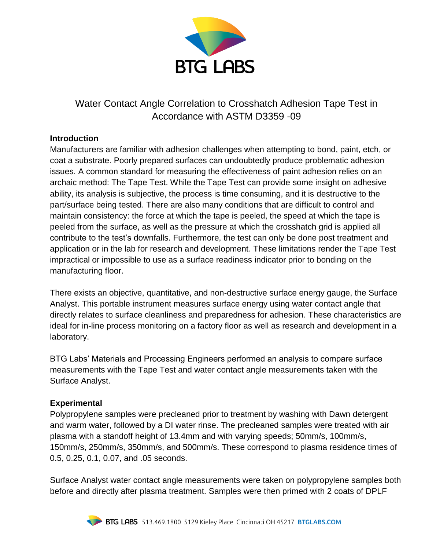

Water Contact Angle Correlation to Crosshatch Adhesion Tape Test in Accordance with ASTM D3359 -09

### **Introduction**

Manufacturers are familiar with adhesion challenges when attempting to bond, paint, etch, or coat a substrate. Poorly prepared surfaces can undoubtedly produce problematic adhesion issues. A common standard for measuring the effectiveness of paint adhesion relies on an archaic method: The Tape Test. While the Tape Test can provide some insight on adhesive ability, its analysis is subjective, the process is time consuming, and it is destructive to the part/surface being tested. There are also many conditions that are difficult to control and maintain consistency: the force at which the tape is peeled, the speed at which the tape is peeled from the surface, as well as the pressure at which the crosshatch grid is applied all contribute to the test's downfalls. Furthermore, the test can only be done post treatment and application or in the lab for research and development. These limitations render the Tape Test impractical or impossible to use as a surface readiness indicator prior to bonding on the manufacturing floor.

There exists an objective, quantitative, and non-destructive surface energy gauge, the Surface Analyst. This portable instrument measures surface energy using water contact angle that directly relates to surface cleanliness and preparedness for adhesion. These characteristics are ideal for in-line process monitoring on a factory floor as well as research and development in a laboratory.

BTG Labs' Materials and Processing Engineers performed an analysis to compare surface measurements with the Tape Test and water contact angle measurements taken with the Surface Analyst.

# **Experimental**

Polypropylene samples were precleaned prior to treatment by washing with Dawn detergent and warm water, followed by a DI water rinse. The precleaned samples were treated with air plasma with a standoff height of 13.4mm and with varying speeds; 50mm/s, 100mm/s, 150mm/s, 250mm/s, 350mm/s, and 500mm/s. These correspond to plasma residence times of 0.5, 0.25, 0.1, 0.07, and .05 seconds.

Surface Analyst water contact angle measurements were taken on polypropylene samples both before and directly after plasma treatment. Samples were then primed with 2 coats of DPLF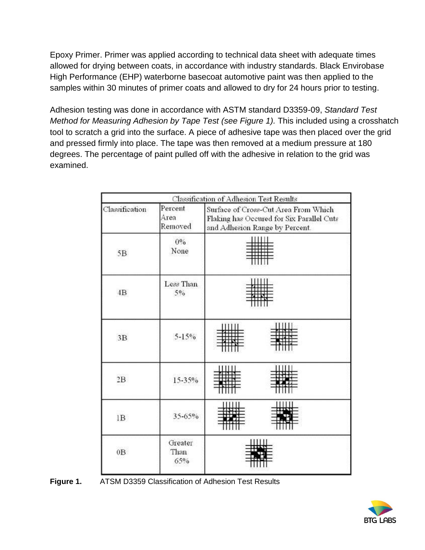Epoxy Primer. Primer was applied according to technical data sheet with adequate times allowed for drying between coats, in accordance with industry standards. Black Envirobase High Performance (EHP) waterborne basecoat automotive paint was then applied to the samples within 30 minutes of primer coats and allowed to dry for 24 hours prior to testing.

Adhesion testing was done in accordance with ASTM standard D3359-09, *Standard Test Method for Measuring Adhesion by Tape Test (see Figure 1).* This included using a crosshatch tool to scratch a grid into the surface. A piece of adhesive tape was then placed over the grid and pressed firmly into place. The tape was then removed at a medium pressure at 180 degrees. The percentage of paint pulled off with the adhesive in relation to the grid was examined.

|                |                            | Classification of Adhesion Test Results                                                                             |
|----------------|----------------------------|---------------------------------------------------------------------------------------------------------------------|
| Classification | Percent<br>Area<br>Removed | Surface of Cross-Cut Area From Which<br>Flaking has Occured for Six Parallel Cuts<br>and Adhesion Range by Percent. |
| 5B             | $0\%$<br>None              |                                                                                                                     |
| $4\mathrm{B}$  | Less Than<br>$5\%$         |                                                                                                                     |
| 3B             | $5 - 15%$                  |                                                                                                                     |
| 2B             | 15-35%                     |                                                                                                                     |
| 1B             | 35-65%                     |                                                                                                                     |
| 0B             | Greater<br>Than<br>65%     |                                                                                                                     |

**Figure 1.** ATSM D3359 Classification of Adhesion Test Results

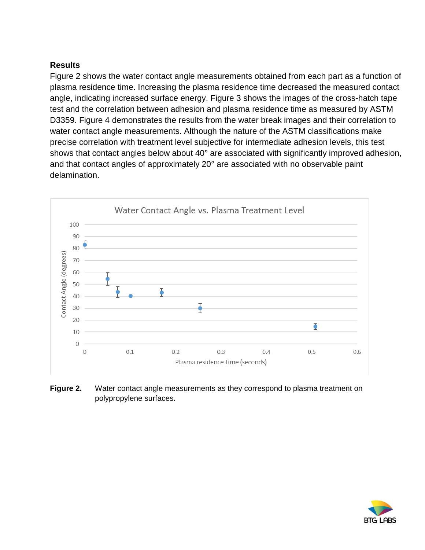# **Results**

Figure 2 shows the water contact angle measurements obtained from each part as a function of plasma residence time. Increasing the plasma residence time decreased the measured contact angle, indicating increased surface energy. Figure 3 shows the images of the cross-hatch tape test and the correlation between adhesion and plasma residence time as measured by ASTM D3359. Figure 4 demonstrates the results from the water break images and their correlation to water contact angle measurements. Although the nature of the ASTM classifications make precise correlation with treatment level subjective for intermediate adhesion levels, this test shows that contact angles below about 40° are associated with significantly improved adhesion, and that contact angles of approximately 20° are associated with no observable paint delamination.



**Figure 2.** Water contact angle measurements as they correspond to plasma treatment on polypropylene surfaces.

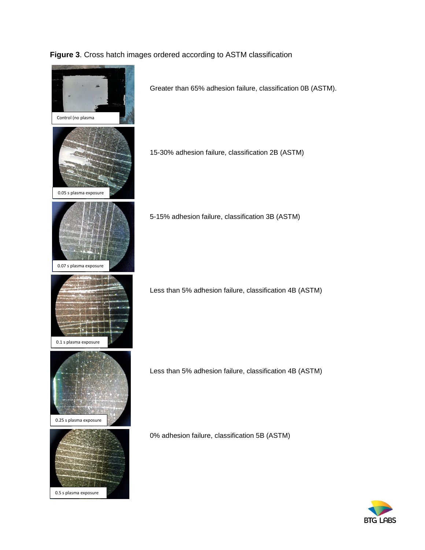### **Figure 3**. Cross hatch images ordered according to ASTM classification



BTG LABS